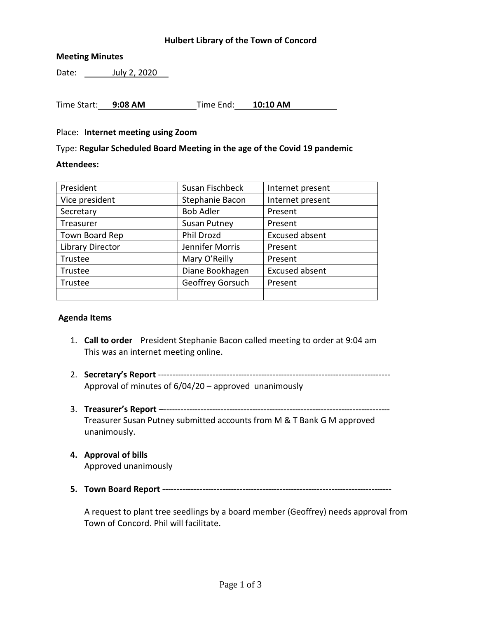# **Hulbert Library of the Town of Concord**

## **Meeting Minutes**

Date: July 2, 2020

Time Start: **9:08 AM** Time End: **10:10 AM**

#### Place: **Internet meeting using Zoom**

Type: **Regular Scheduled Board Meeting in the age of the Covid 19 pandemic**

#### **Attendees:**

| President               | Susan Fischbeck     | Internet present      |
|-------------------------|---------------------|-----------------------|
| Vice president          | Stephanie Bacon     | Internet present      |
| Secretary               | <b>Bob Adler</b>    | Present               |
| Treasurer               | <b>Susan Putney</b> | Present               |
| Town Board Rep          | <b>Phil Drozd</b>   | <b>Excused absent</b> |
| <b>Library Director</b> | Jennifer Morris     | Present               |
| Trustee                 | Mary O'Reilly       | Present               |
| Trustee                 | Diane Bookhagen     | <b>Excused absent</b> |
| Trustee                 | Geoffrey Gorsuch    | Present               |
|                         |                     |                       |

#### **Agenda Items**

- 1. **Call to order** President Stephanie Bacon called meeting to order at 9:04 am This was an internet meeting online.
- 2. **Secretary's Report** --------------------------------------------------------------------------------- Approval of minutes of 6/04/20 – approved unanimously
- 3. **Treasurer's Report** –------------------------------------------------------------------------------- Treasurer Susan Putney submitted accounts from M & T Bank G M approved unanimously.

# **4. Approval of bills**

Approved unanimously

**5. Town Board Report --------------------------------------------------------------------------------**

A request to plant tree seedlings by a board member (Geoffrey) needs approval from Town of Concord. Phil will facilitate.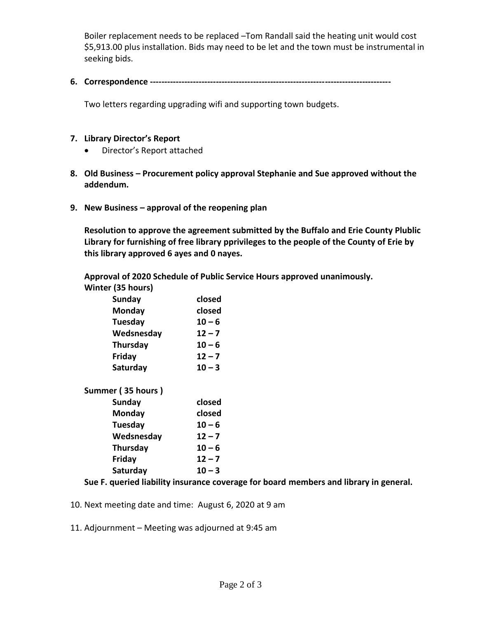Boiler replacement needs to be replaced –Tom Randall said the heating unit would cost \$5,913.00 plus installation. Bids may need to be let and the town must be instrumental in seeking bids.

**6. Correspondence ------------------------------------------------------------------------------------**

Two letters regarding upgrading wifi and supporting town budgets.

## **7. Library Director's Report**

- Director's Report attached
- **8. Old Business – Procurement policy approval Stephanie and Sue approved without the addendum.**
- **9. New Business – approval of the reopening plan**

**Resolution to approve the agreement submitted by the Buffalo and Erie County Plublic Library for furnishing of free library pprivileges to the people of the County of Erie by this library approved 6 ayes and 0 nayes.**

**Approval of 2020 Schedule of Public Service Hours approved unanimously.**

| Winter (35 hours) |  |  |
|-------------------|--|--|
|                   |  |  |

| closed   |
|----------|
| closed   |
| $10 - 6$ |
| $12 - 7$ |
| $10 - 6$ |
| $12 - 7$ |
| $10 - 3$ |
|          |

**Summer ( 35 hours ) Sunday closed**

| Juliuu v   |          |
|------------|----------|
| Monday     | closed   |
| Tuesday    | $10 - 6$ |
| Wedsnesday | $12 - 7$ |
| Thursday   | $10 - 6$ |
| Friday     | $12 - 7$ |
| Saturday   | $10 - 3$ |

# **Sue F. queried liability insurance coverage for board members and library in general.**

- 10. Next meeting date and time: August 6, 2020 at 9 am
- 11. Adjournment Meeting was adjourned at 9:45 am